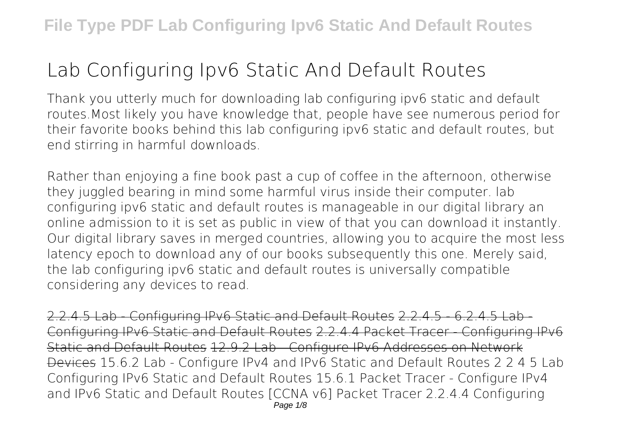## **Lab Configuring Ipv6 Static And Default Routes**

Thank you utterly much for downloading **lab configuring ipv6 static and default routes**.Most likely you have knowledge that, people have see numerous period for their favorite books behind this lab configuring ipv6 static and default routes, but end stirring in harmful downloads.

Rather than enjoying a fine book past a cup of coffee in the afternoon, otherwise they juggled bearing in mind some harmful virus inside their computer. **lab configuring ipv6 static and default routes** is manageable in our digital library an online admission to it is set as public in view of that you can download it instantly. Our digital library saves in merged countries, allowing you to acquire the most less latency epoch to download any of our books subsequently this one. Merely said, the lab configuring ipv6 static and default routes is universally compatible considering any devices to read.

2.2.4.5 Lab - Configuring IPv6 Static and Default Routes 2.2.4.5 - 6.2.4.5 Lab - Configuring IPv6 Static and Default Routes 2.2.4.4 Packet Tracer - Configuring IPv6 Static and Default Routes 12.9.2 Lab - Configure IPv6 Addresses on Network Devices 15.6.2 Lab - Configure IPv4 and IPv6 Static and Default Routes *2 2 4 5 Lab Configuring IPv6 Static and Default Routes* **15.6.1 Packet Tracer - Configure IPv4 and IPv6 Static and Default Routes** [CCNA v6] Packet Tracer 2.2.4.4 Configuring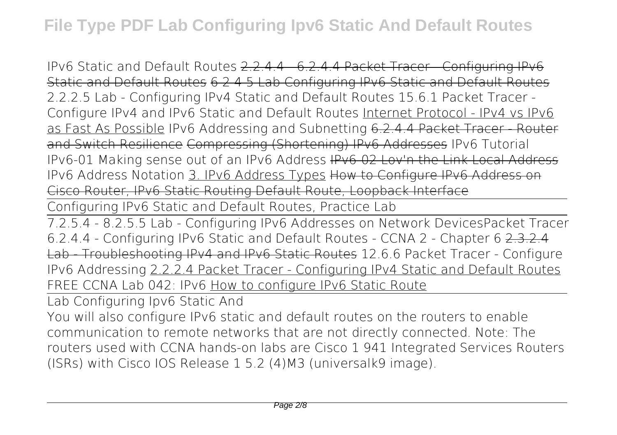IPv6 Static and Default Routes 2.2.4.4 - 6.2.4.4 Packet Tracer - Configuring IPv6 Static and Default Routes 6 2 4 5 Lab Configuring IPv6 Static and Default Routes *2.2.2.5 Lab - Configuring IPv4 Static and Default Routes 15.6.1 Packet Tracer - Configure IPv4 and IPv6 Static and Default Routes* Internet Protocol - IPv4 vs IPv6 as Fast As Possible IPv6 Addressing and Subnetting 6.2.4.4 Packet Tracer - Router and Switch Resilience Compressing (Shortening) IPv6 Addresses **IPv6 Tutorial** *IPv6-01 Making sense out of an IPv6 Address* IPv6-02 Lov'n the Link Local Address *IPv6 Address Notation* 3. IPv6 Address Types How to Configure IPv6 Address on Cisco Router, IPv6 Static Routing Default Route, Loopback Interface

Configuring IPv6 Static and Default Routes, Practice Lab

7.2.5.4 - 8.2.5.5 Lab - Configuring IPv6 Addresses on Network Devices*Packet Tracer 6.2.4.4 - Configuring IPv6 Static and Default Routes - CCNA 2 - Chapter 6* 2.3.2.4 Lab - Troubleshooting IPv4 and IPv6 Static Routes **12.6.6 Packet Tracer - Configure IPv6 Addressing** 2.2.2.4 Packet Tracer - Configuring IPv4 Static and Default Routes *FREE CCNA Lab 042: IPv6* How to configure IPv6 Static Route

Lab Configuring Ipv6 Static And

You will also configure IPv6 static and default routes on the routers to enable communication to remote networks that are not directly connected. Note: The routers used with CCNA hands-on labs are Cisco 1 941 Integrated Services Routers (ISRs) with Cisco IOS Release 1 5.2 (4)M3 (universalk9 image).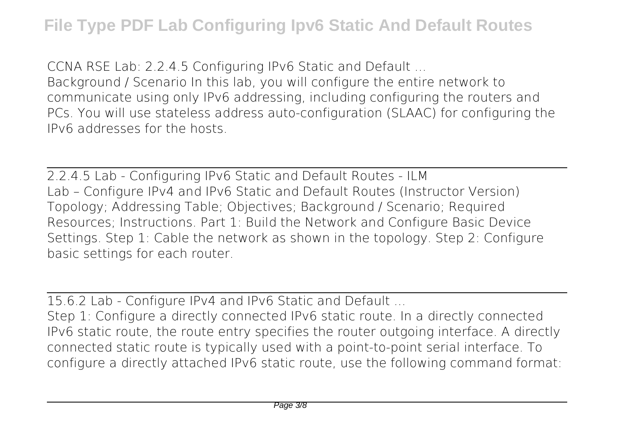CCNA RSE Lab: 2.2.4.5 Configuring IPv6 Static and Default ... Background / Scenario In this lab, you will configure the entire network to communicate using only IPv6 addressing, including configuring the routers and PCs. You will use stateless address auto-configuration (SLAAC) for configuring the IPv6 addresses for the hosts.

2.2.4.5 Lab - Configuring IPv6 Static and Default Routes - ILM Lab – Configure IPv4 and IPv6 Static and Default Routes (Instructor Version) Topology; Addressing Table; Objectives; Background / Scenario; Required Resources; Instructions. Part 1: Build the Network and Configure Basic Device Settings. Step 1: Cable the network as shown in the topology. Step 2: Configure basic settings for each router.

15.6.2 Lab - Configure IPv4 and IPv6 Static and Default ...

Step 1: Configure a directly connected IPv6 static route. In a directly connected IPv6 static route, the route entry specifies the router outgoing interface. A directly connected static route is typically used with a point-to-point serial interface. To configure a directly attached IPv6 static route, use the following command format: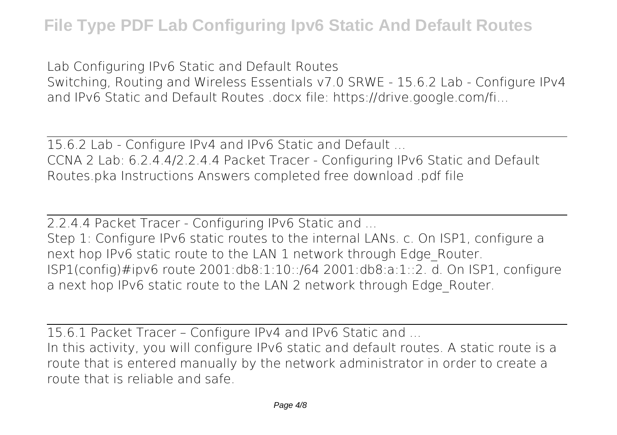Lab Configuring IPv6 Static and Default Routes

Switching, Routing and Wireless Essentials v7.0 SRWE - 15.6.2 Lab - Configure IPv4 and IPv6 Static and Default Routes .docx file: https://drive.google.com/fi...

15.6.2 Lab - Configure IPv4 and IPv6 Static and Default ... CCNA 2 Lab: 6.2.4.4/2.2.4.4 Packet Tracer - Configuring IPv6 Static and Default Routes.pka Instructions Answers completed free download .pdf file

2.2.4.4 Packet Tracer - Configuring IPv6 Static and ... Step 1: Configure IPv6 static routes to the internal LANs. c. On ISP1, configure a next hop IPv6 static route to the LAN 1 network through Edge\_Router. ISP1(config)#ipv6 route 2001:db8:1:10::/64 2001:db8:a:1::2. d. On ISP1, configure a next hop IPv6 static route to the LAN 2 network through Edge\_Router.

15.6.1 Packet Tracer – Configure IPv4 and IPv6 Static and ... In this activity, you will configure IPv6 static and default routes. A static route is a route that is entered manually by the network administrator in order to create a route that is reliable and safe.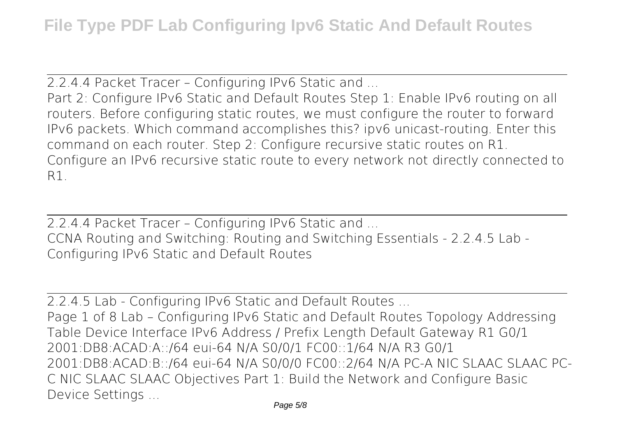2.2.4.4 Packet Tracer – Configuring IPv6 Static and ...

Part 2: Configure IPv6 Static and Default Routes Step 1: Enable IPv6 routing on all routers. Before configuring static routes, we must configure the router to forward IPv6 packets. Which command accomplishes this? ipv6 unicast-routing. Enter this command on each router. Step 2: Configure recursive static routes on R1. Configure an IPv6 recursive static route to every network not directly connected to R1.

2.2.4.4 Packet Tracer – Configuring IPv6 Static and ... CCNA Routing and Switching: Routing and Switching Essentials - 2.2.4.5 Lab - Configuring IPv6 Static and Default Routes

2.2.4.5 Lab - Configuring IPv6 Static and Default Routes ...

Page 1 of 8 Lab – Configuring IPv6 Static and Default Routes Topology Addressing Table Device Interface IPv6 Address / Prefix Length Default Gateway R1 G0/1 2001:DB8:ACAD:A::/64 eui-64 N/A S0/0/1 FC00::1/64 N/A R3 G0/1 2001:DB8:ACAD:B::/64 eui-64 N/A S0/0/0 FC00::2/64 N/A PC-A NIC SLAAC SLAAC PC-C NIC SLAAC SLAAC Objectives Part 1: Build the Network and Configure Basic Device Settings ...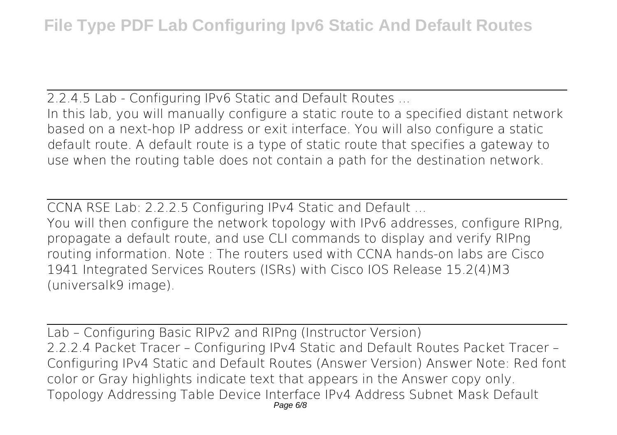2.2.4.5 Lab - Configuring IPv6 Static and Default Routes ... In this lab, you will manually configure a static route to a specified distant network based on a next-hop IP address or exit interface. You will also configure a static default route. A default route is a type of static route that specifies a gateway to use when the routing table does not contain a path for the destination network.

CCNA RSE Lab: 2.2.2.5 Configuring IPv4 Static and Default ...

You will then configure the network topology with IPv6 addresses, configure RIPng, propagate a default route, and use CLI commands to display and verify RIPng routing information. Note : The routers used with CCNA hands-on labs are Cisco 1941 Integrated Services Routers (ISRs) with Cisco IOS Release 15.2(4)M3 (universalk9 image).

Lab – Configuring Basic RIPv2 and RIPng (Instructor Version) 2.2.2.4 Packet Tracer – Configuring IPv4 Static and Default Routes Packet Tracer – Configuring IPv4 Static and Default Routes (Answer Version) Answer Note: Red font color or Gray highlights indicate text that appears in the Answer copy only. Topology Addressing Table Device Interface IPv4 Address Subnet Mask Default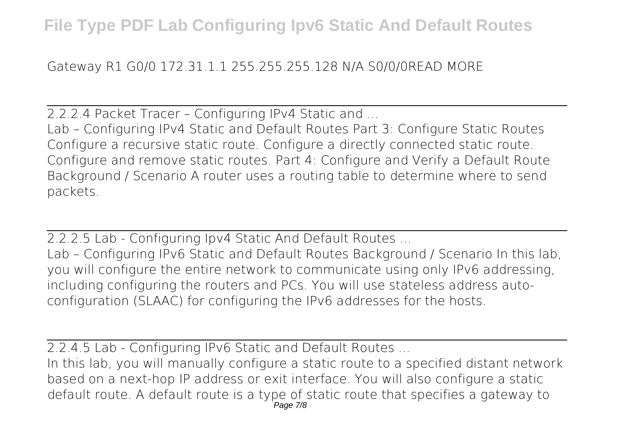## Gateway R1 G0/0 172.31.1.1 255.255.255.128 N/A S0/0/0READ MORE

2.2.2.4 Packet Tracer – Configuring IPv4 Static and ...

Lab – Configuring IPv4 Static and Default Routes Part 3: Configure Static Routes Configure a recursive static route. Configure a directly connected static route. Configure and remove static routes. Part 4: Configure and Verify a Default Route Background / Scenario A router uses a routing table to determine where to send packets.

2.2.2.5 Lab - Configuring Ipv4 Static And Default Routes ...

Lab – Configuring IPv6 Static and Default Routes Background / Scenario In this lab, you will configure the entire network to communicate using only IPv6 addressing, including configuring the routers and PCs. You will use stateless address autoconfiguration (SLAAC) for configuring the IPv6 addresses for the hosts.

2.2.4.5 Lab - Configuring IPv6 Static and Default Routes ...

In this lab, you will manually configure a static route to a specified distant network based on a next-hop IP address or exit interface. You will also configure a static default route. A default route is a type of static route that specifies a gateway to